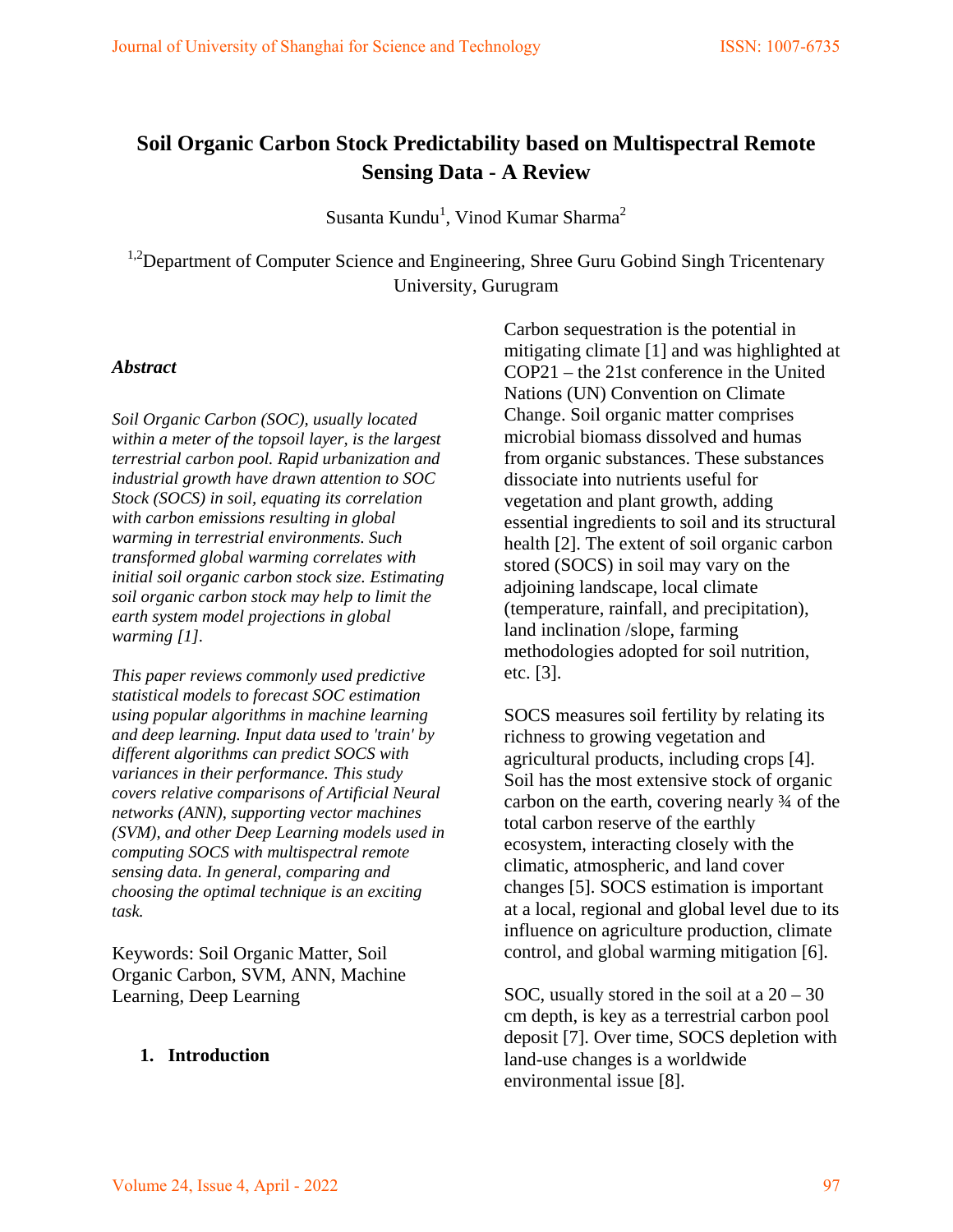# **Soil Organic Carbon Stock Predictability based on Multispectral Remote Sensing Data - A Review**

Susanta Kundu<sup>1</sup>, Vinod Kumar Sharma<sup>2</sup>

<sup>1,2</sup>Department of Computer Science and Engineering, Shree Guru Gobind Singh Tricentenary University, Gurugram

#### *Abstract*

*Soil Organic Carbon (SOC), usually located within a meter of the topsoil layer, is the largest terrestrial carbon pool. Rapid urbanization and industrial growth have drawn attention to SOC Stock (SOCS) in soil, equating its correlation with carbon emissions resulting in global warming in terrestrial environments. Such transformed global warming correlates with initial soil organic carbon stock size. Estimating soil organic carbon stock may help to limit the earth system model projections in global warming [1].* 

*This paper reviews commonly used predictive statistical models to forecast SOC estimation using popular algorithms in machine learning and deep learning. Input data used to 'train' by different algorithms can predict SOCS with variances in their performance. This study covers relative comparisons of Artificial Neural networks (ANN), supporting vector machines (SVM), and other Deep Learning models used in computing SOCS with multispectral remote sensing data. In general, comparing and choosing the optimal technique is an exciting task.* 

Keywords: Soil Organic Matter, Soil Organic Carbon, SVM, ANN, Machine Learning, Deep Learning

#### **1. Introduction**

Carbon sequestration is the potential in mitigating climate [1] and was highlighted at COP21 – the 21st conference in the United Nations (UN) Convention on Climate Change. Soil organic matter comprises microbial biomass dissolved and humas from organic substances. These substances dissociate into nutrients useful for vegetation and plant growth, adding essential ingredients to soil and its structural health [2]. The extent of soil organic carbon stored (SOCS) in soil may vary on the adjoining landscape, local climate (temperature, rainfall, and precipitation), land inclination /slope, farming methodologies adopted for soil nutrition, etc. [3].

SOCS measures soil fertility by relating its richness to growing vegetation and agricultural products, including crops [4]. Soil has the most extensive stock of organic carbon on the earth, covering nearly ¾ of the total carbon reserve of the earthly ecosystem, interacting closely with the climatic, atmospheric, and land cover changes [5]. SOCS estimation is important at a local, regional and global level due to its influence on agriculture production, climate control, and global warming mitigation [6].

SOC, usually stored in the soil at a  $20 - 30$ cm depth, is key as a terrestrial carbon pool deposit [7]. Over time, SOCS depletion with land-use changes is a worldwide environmental issue [8].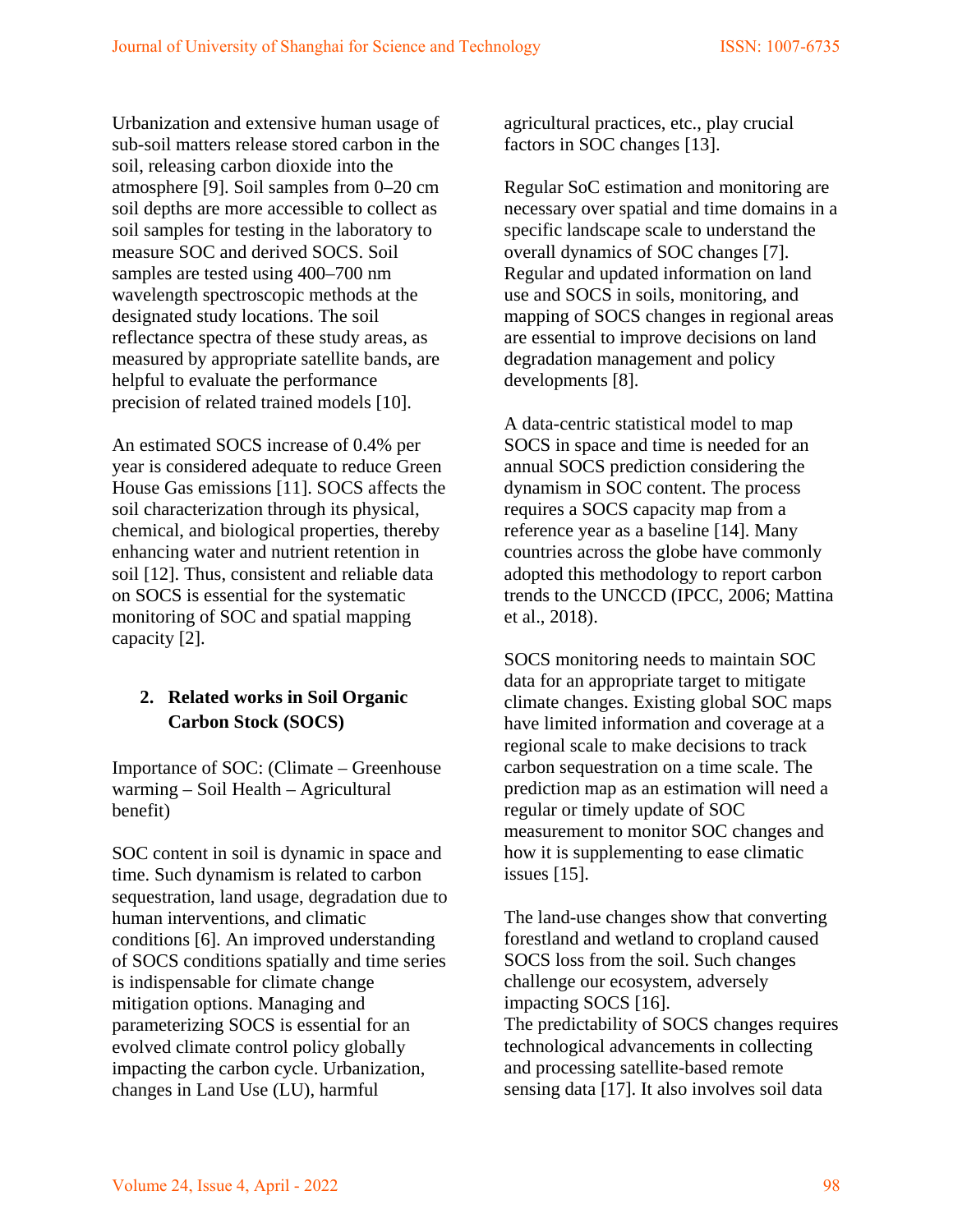Urbanization and extensive human usage of sub-soil matters release stored carbon in the soil, releasing carbon dioxide into the atmosphere [9]. Soil samples from 0–20 cm soil depths are more accessible to collect as soil samples for testing in the laboratory to measure SOC and derived SOCS. Soil samples are tested using 400–700 nm wavelength spectroscopic methods at the designated study locations. The soil reflectance spectra of these study areas, as measured by appropriate satellite bands, are helpful to evaluate the performance precision of related trained models [10].

An estimated SOCS increase of 0.4% per year is considered adequate to reduce Green House Gas emissions [11]. SOCS affects the soil characterization through its physical, chemical, and biological properties, thereby enhancing water and nutrient retention in soil [12]. Thus, consistent and reliable data on SOCS is essential for the systematic monitoring of SOC and spatial mapping capacity [2].

## **2. Related works in Soil Organic Carbon Stock (SOCS)**

Importance of SOC: (Climate – Greenhouse warming – Soil Health – Agricultural benefit)

SOC content in soil is dynamic in space and time. Such dynamism is related to carbon sequestration, land usage, degradation due to human interventions, and climatic conditions [6]. An improved understanding of SOCS conditions spatially and time series is indispensable for climate change mitigation options. Managing and parameterizing SOCS is essential for an evolved climate control policy globally impacting the carbon cycle. Urbanization, changes in Land Use (LU), harmful

agricultural practices, etc., play crucial factors in SOC changes [13].

Regular SoC estimation and monitoring are necessary over spatial and time domains in a specific landscape scale to understand the overall dynamics of SOC changes [7]. Regular and updated information on land use and SOCS in soils, monitoring, and mapping of SOCS changes in regional areas are essential to improve decisions on land degradation management and policy developments [8].

A data-centric statistical model to map SOCS in space and time is needed for an annual SOCS prediction considering the dynamism in SOC content. The process requires a SOCS capacity map from a reference year as a baseline [14]. Many countries across the globe have commonly adopted this methodology to report carbon trends to the UNCCD (IPCC, 2006; Mattina et al., 2018).

SOCS monitoring needs to maintain SOC data for an appropriate target to mitigate climate changes. Existing global SOC maps have limited information and coverage at a regional scale to make decisions to track carbon sequestration on a time scale. The prediction map as an estimation will need a regular or timely update of SOC measurement to monitor SOC changes and how it is supplementing to ease climatic issues [15].

The land-use changes show that converting forestland and wetland to cropland caused SOCS loss from the soil. Such changes challenge our ecosystem, adversely impacting SOCS [16]. The predictability of SOCS changes requires technological advancements in collecting and processing satellite-based remote sensing data [17]. It also involves soil data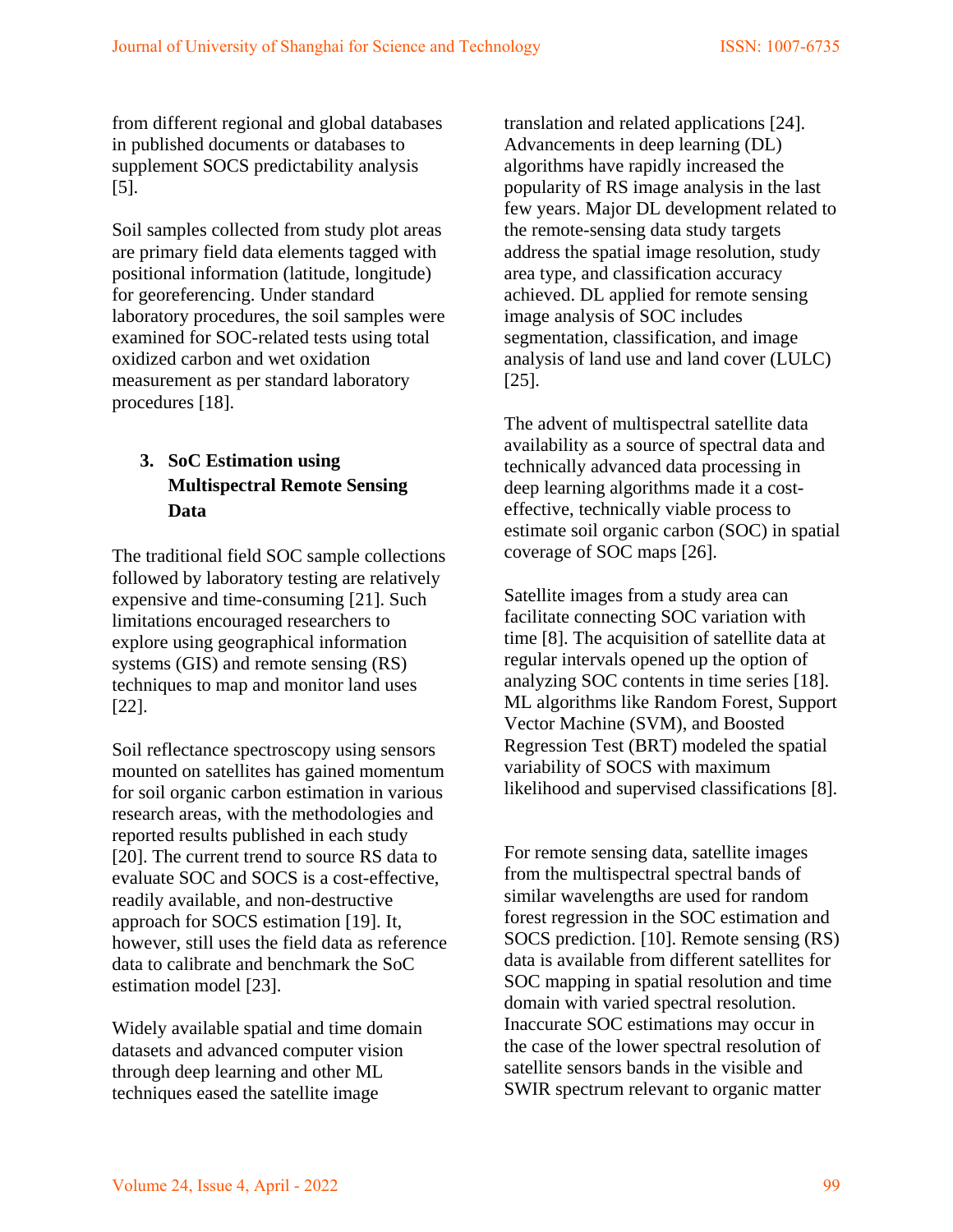from different regional and global databases in published documents or databases to supplement SOCS predictability analysis [5].

Soil samples collected from study plot areas are primary field data elements tagged with positional information (latitude, longitude) for georeferencing. Under standard laboratory procedures, the soil samples were examined for SOC-related tests using total oxidized carbon and wet oxidation measurement as per standard laboratory procedures [18].

# **3. SoC Estimation using Multispectral Remote Sensing Data**

The traditional field SOC sample collections followed by laboratory testing are relatively expensive and time-consuming [21]. Such limitations encouraged researchers to explore using geographical information systems (GIS) and remote sensing (RS) techniques to map and monitor land uses [22].

Soil reflectance spectroscopy using sensors mounted on satellites has gained momentum for soil organic carbon estimation in various research areas, with the methodologies and reported results published in each study [20]. The current trend to source RS data to evaluate SOC and SOCS is a cost-effective, readily available, and non-destructive approach for SOCS estimation [19]. It, however, still uses the field data as reference data to calibrate and benchmark the SoC estimation model [23].

Widely available spatial and time domain datasets and advanced computer vision through deep learning and other ML techniques eased the satellite image

translation and related applications [24]. Advancements in deep learning (DL) algorithms have rapidly increased the popularity of RS image analysis in the last few years. Major DL development related to the remote-sensing data study targets address the spatial image resolution, study area type, and classification accuracy achieved. DL applied for remote sensing image analysis of SOC includes segmentation, classification, and image analysis of land use and land cover (LULC) [25].

The advent of multispectral satellite data availability as a source of spectral data and technically advanced data processing in deep learning algorithms made it a costeffective, technically viable process to estimate soil organic carbon (SOC) in spatial coverage of SOC maps [26].

Satellite images from a study area can facilitate connecting SOC variation with time [8]. The acquisition of satellite data at regular intervals opened up the option of analyzing SOC contents in time series [18]. ML algorithms like Random Forest, Support Vector Machine (SVM), and Boosted Regression Test (BRT) modeled the spatial variability of SOCS with maximum likelihood and supervised classifications [8].

For remote sensing data, satellite images from the multispectral spectral bands of similar wavelengths are used for random forest regression in the SOC estimation and SOCS prediction. [10]. Remote sensing (RS) data is available from different satellites for SOC mapping in spatial resolution and time domain with varied spectral resolution. Inaccurate SOC estimations may occur in the case of the lower spectral resolution of satellite sensors bands in the visible and SWIR spectrum relevant to organic matter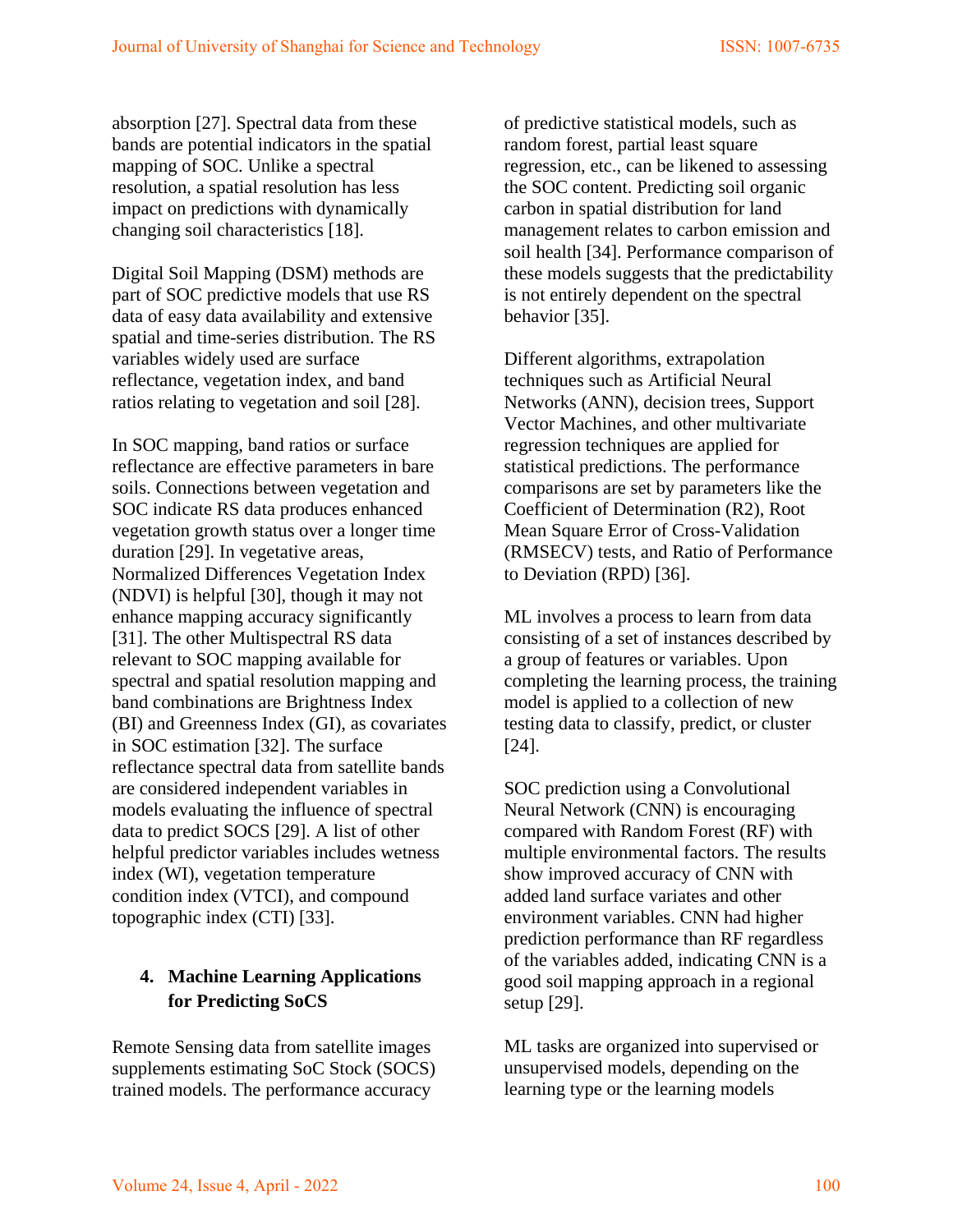absorption [27]. Spectral data from these bands are potential indicators in the spatial mapping of SOC. Unlike a spectral resolution, a spatial resolution has less impact on predictions with dynamically changing soil characteristics [18].

Digital Soil Mapping (DSM) methods are part of SOC predictive models that use RS data of easy data availability and extensive spatial and time-series distribution. The RS variables widely used are surface reflectance, vegetation index, and band ratios relating to vegetation and soil [28].

In SOC mapping, band ratios or surface reflectance are effective parameters in bare soils. Connections between vegetation and SOC indicate RS data produces enhanced vegetation growth status over a longer time duration [29]. In vegetative areas, Normalized Differences Vegetation Index (NDVI) is helpful [30], though it may not enhance mapping accuracy significantly [31]. The other Multispectral RS data relevant to SOC mapping available for spectral and spatial resolution mapping and band combinations are Brightness Index (BI) and Greenness Index (GI), as covariates in SOC estimation [32]. The surface reflectance spectral data from satellite bands are considered independent variables in models evaluating the influence of spectral data to predict SOCS [29]. A list of other helpful predictor variables includes wetness index (WI), vegetation temperature condition index (VTCI), and compound topographic index (CTI) [33].

## **4. Machine Learning Applications for Predicting SoCS**

Remote Sensing data from satellite images supplements estimating SoC Stock (SOCS) trained models. The performance accuracy

of predictive statistical models, such as random forest, partial least square regression, etc., can be likened to assessing the SOC content. Predicting soil organic carbon in spatial distribution for land management relates to carbon emission and soil health [34]. Performance comparison of these models suggests that the predictability is not entirely dependent on the spectral behavior [35].

Different algorithms, extrapolation techniques such as Artificial Neural Networks (ANN), decision trees, Support Vector Machines, and other multivariate regression techniques are applied for statistical predictions. The performance comparisons are set by parameters like the Coefficient of Determination (R2), Root Mean Square Error of Cross-Validation (RMSECV) tests, and Ratio of Performance to Deviation (RPD) [36].

ML involves a process to learn from data consisting of a set of instances described by a group of features or variables. Upon completing the learning process, the training model is applied to a collection of new testing data to classify, predict, or cluster [24].

SOC prediction using a Convolutional Neural Network (CNN) is encouraging compared with Random Forest (RF) with multiple environmental factors. The results show improved accuracy of CNN with added land surface variates and other environment variables. CNN had higher prediction performance than RF regardless of the variables added, indicating CNN is a good soil mapping approach in a regional setup [29].

ML tasks are organized into supervised or unsupervised models, depending on the learning type or the learning models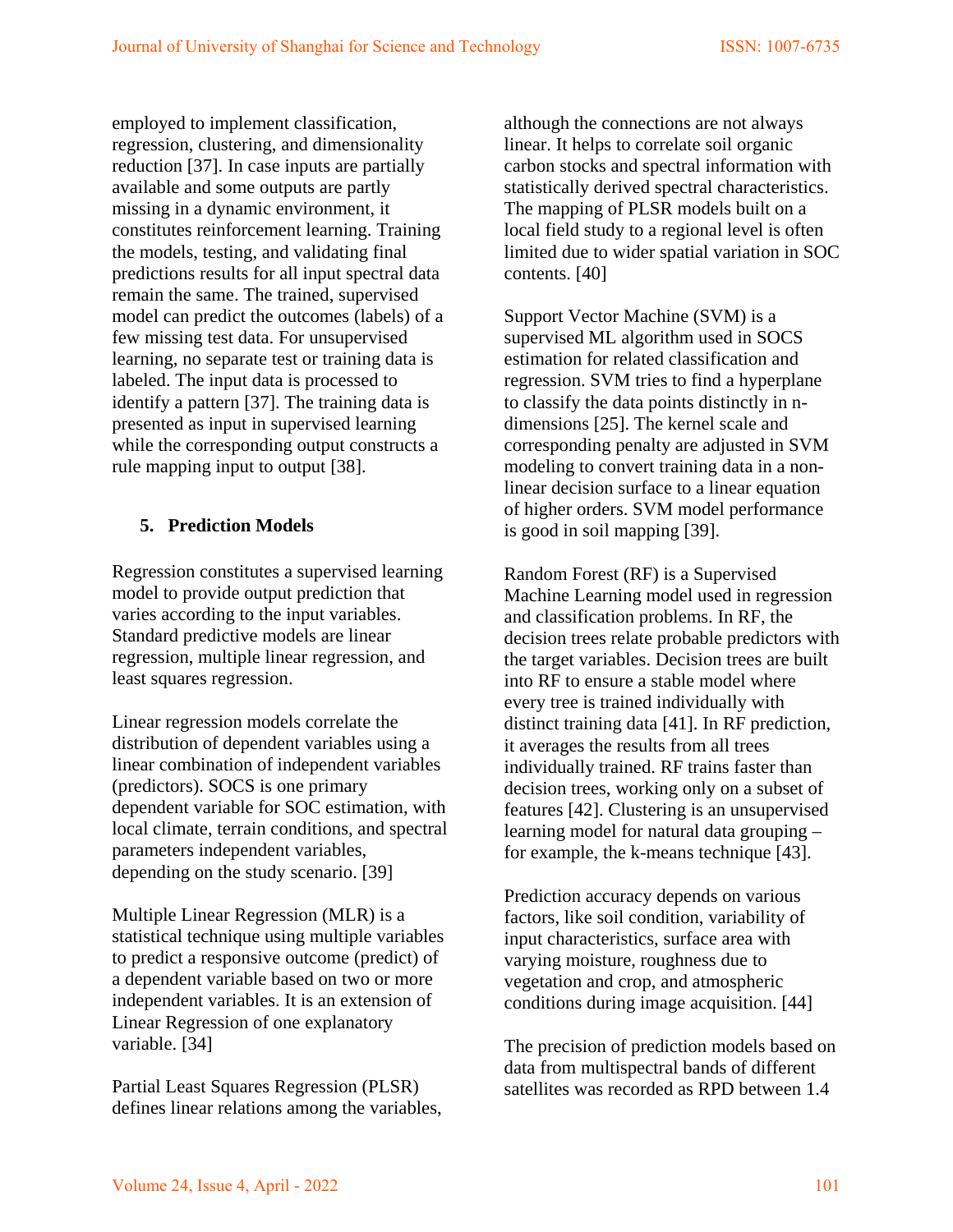employed to implement classification, regression, clustering, and dimensionality reduction [37]. In case inputs are partially available and some outputs are partly missing in a dynamic environment, it constitutes reinforcement learning. Training the models, testing, and validating final predictions results for all input spectral data remain the same. The trained, supervised model can predict the outcomes (labels) of a few missing test data. For unsupervised learning, no separate test or training data is labeled. The input data is processed to identify a pattern [37]. The training data is presented as input in supervised learning while the corresponding output constructs a rule mapping input to output [38].

## **5. Prediction Models**

Regression constitutes a supervised learning model to provide output prediction that varies according to the input variables. Standard predictive models are linear regression, multiple linear regression, and least squares regression.

Linear regression models correlate the distribution of dependent variables using a linear combination of independent variables (predictors). SOCS is one primary dependent variable for SOC estimation, with local climate, terrain conditions, and spectral parameters independent variables, depending on the study scenario. [39]

Multiple Linear Regression (MLR) is a statistical technique using multiple variables to predict a responsive outcome (predict) of a dependent variable based on two or more independent variables. It is an extension of Linear Regression of one explanatory variable. [34]

Partial Least Squares Regression (PLSR) defines linear relations among the variables,

although the connections are not always linear. It helps to correlate soil organic carbon stocks and spectral information with statistically derived spectral characteristics. The mapping of PLSR models built on a local field study to a regional level is often limited due to wider spatial variation in SOC contents. [40]

Support Vector Machine (SVM) is a supervised ML algorithm used in SOCS estimation for related classification and regression. SVM tries to find a hyperplane to classify the data points distinctly in ndimensions [25]. The kernel scale and corresponding penalty are adjusted in SVM modeling to convert training data in a nonlinear decision surface to a linear equation of higher orders. SVM model performance is good in soil mapping [39].

Random Forest (RF) is a Supervised Machine Learning model used in regression and classification problems. In RF, the decision trees relate probable predictors with the target variables. Decision trees are built into RF to ensure a stable model where every tree is trained individually with distinct training data [41]. In RF prediction, it averages the results from all trees individually trained. RF trains faster than decision trees, working only on a subset of features [42]. Clustering is an unsupervised learning model for natural data grouping – for example, the k-means technique [43].

Prediction accuracy depends on various factors, like soil condition, variability of input characteristics, surface area with varying moisture, roughness due to vegetation and crop, and atmospheric conditions during image acquisition. [44]

The precision of prediction models based on data from multispectral bands of different satellites was recorded as RPD between 1.4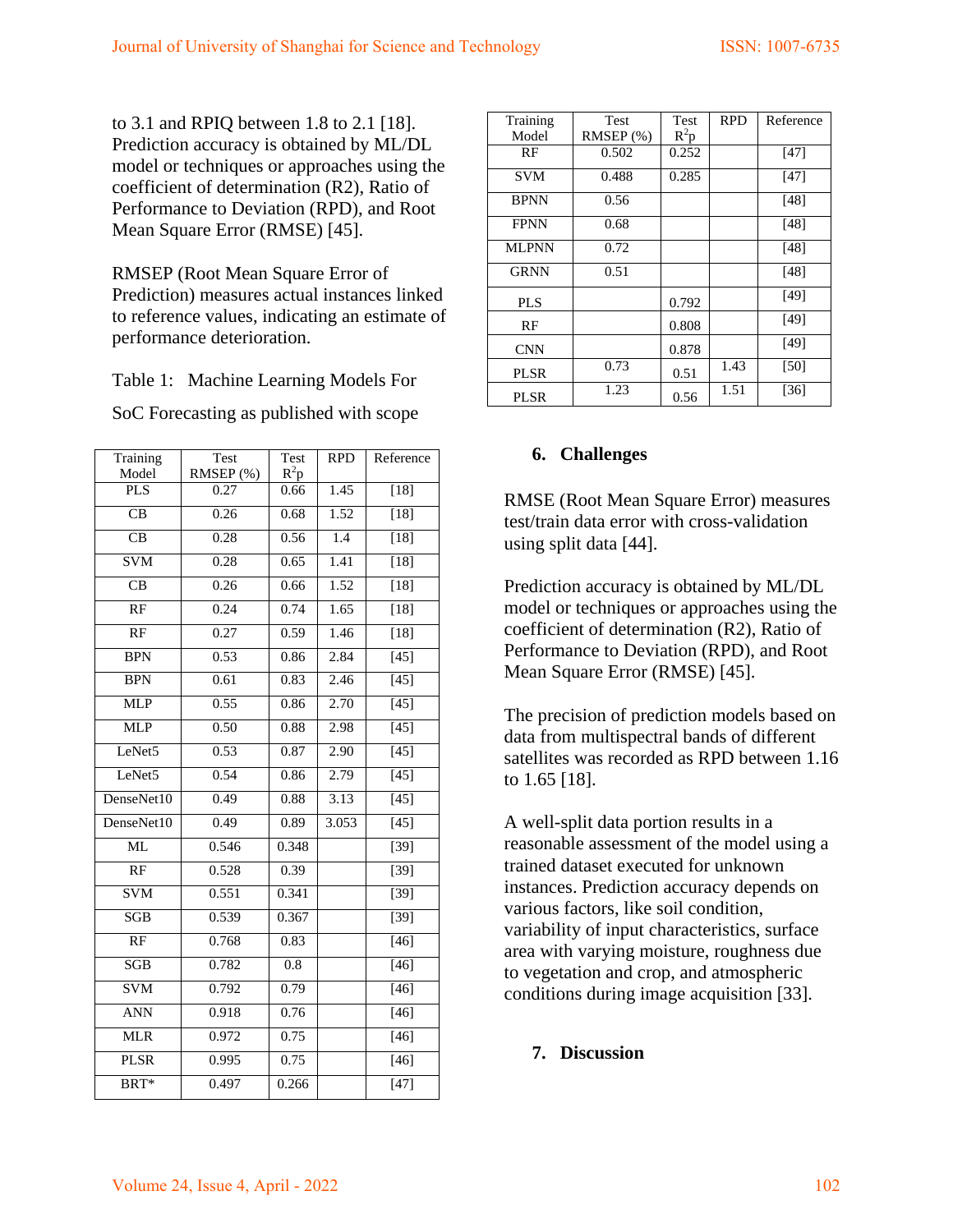to 3.1 and RPIQ between 1.8 to 2.1 [18]. Prediction accuracy is obtained by ML/DL model or techniques or approaches using the coefficient of determination (R2), Ratio of Performance to Deviation (RPD), and Root Mean Square Error (RMSE) [45].

RMSEP (Root Mean Square Error of Prediction) measures actual instances linked to reference values, indicating an estimate of performance deterioration.

Table 1: Machine Learning Models For

SoC Forecasting as published with scope

| Training               | Test      | Test   | <b>RPD</b>       | Reference         |
|------------------------|-----------|--------|------------------|-------------------|
| Model                  | RMSEP (%) | $R^2p$ |                  |                   |
| <b>PLS</b>             | 0.27      | 0.66   | 1.45             | $[18]$            |
| CB                     | 0.26      | 0.68   | 1.52             | $[18]$            |
| $\overline{\text{CB}}$ | 0.28      | 0.56   | $\overline{1.4}$ | $[18]$            |
| <b>SVM</b>             | 0.28      | 0.65   | 1.41             | $[18]$            |
| CB                     | 0.26      | 0.66   | 1.52             | $[18]$            |
| $\overline{RF}$        | 0.24      | 0.74   | 1.65             | $[18]$            |
| RF                     | 0.27      | 0.59   | 1.46             | $[18]$            |
| <b>BPN</b>             | 0.53      | 0.86   | 2.84             | $[45]$            |
| <b>BPN</b>             | 0.61      | 0.83   | 2.46             | $[45]$            |
| <b>MLP</b>             | 0.55      | 0.86   | 2.70             | $[45]$            |
| <b>MLP</b>             | 0.50      | 0.88   | 2.98             | $[45]$            |
| LeNet5                 | 0.53      | 0.87   | 2.90             | $[45]$            |
| LeNet5                 | 0.54      | 0.86   | 2.79             | $[45]$            |
| DenseNet10             | 0.49      | 0.88   | 3.13             | $[45]$            |
| DenseNet10             | 0.49      | 0.89   | 3.053            | $[45]$            |
| <b>ML</b>              | 0.546     | 0.348  |                  | $[39]$            |
| RF                     | 0.528     | 0.39   |                  | $[39]$            |
| <b>SVM</b>             | 0.551     | 0.341  |                  | $\overline{[39]}$ |
| <b>SGB</b>             | 0.539     | 0.367  |                  | $[39]$            |
| RF                     | 0.768     | 0.83   |                  | $[46]$            |
| SGB                    | 0.782     | 0.8    |                  | $[46]$            |
| <b>SVM</b>             | 0.792     | 0.79   |                  | $[46]$            |
| <b>ANN</b>             | 0.918     | 0.76   |                  | $[46]$            |
| <b>MLR</b>             | 0.972     | 0.75   |                  | $[46]$            |
| <b>PLSR</b>            | 0.995     | 0.75   |                  | $[46]$            |
| BRT*                   | 0.497     | 0.266  |                  | $[47]$            |

| Training     | Test           | <b>Test</b> | <b>RPD</b> | Reference |
|--------------|----------------|-------------|------------|-----------|
| Model        | $RMSEP$ $(\%)$ | $R^2p$      |            |           |
| RF           | 0.502          | 0.252       |            | [47]      |
| SVM          | 0.488          | 0.285       |            | [47]      |
| <b>BPNN</b>  | 0.56           |             |            | [48]      |
| <b>FPNN</b>  | 0.68           |             |            | [48]      |
| <b>MLPNN</b> | 0.72           |             |            | [48]      |
| <b>GRNN</b>  | 0.51           |             |            | [48]      |
| <b>PLS</b>   |                | 0.792       |            | [49]      |
| RF           |                | 0.808       |            | [49]      |
| <b>CNN</b>   |                | 0.878       |            | [49]      |
| PLSR         | 0.73           | 0.51        | 1.43       | [50]      |
| PLSR         | 1.23           | 0.56        | 1.51       | $[36]$    |

### **6. Challenges**

RMSE (Root Mean Square Error) measures test/train data error with cross-validation using split data [44].

Prediction accuracy is obtained by ML/DL model or techniques or approaches using the coefficient of determination (R2), Ratio of Performance to Deviation (RPD), and Root Mean Square Error (RMSE) [45].

The precision of prediction models based on data from multispectral bands of different satellites was recorded as RPD between 1.16 to 1.65 [18].

A well-split data portion results in a reasonable assessment of the model using a trained dataset executed for unknown instances. Prediction accuracy depends on various factors, like soil condition, variability of input characteristics, surface area with varying moisture, roughness due to vegetation and crop, and atmospheric conditions during image acquisition [33].

### **7. Discussion**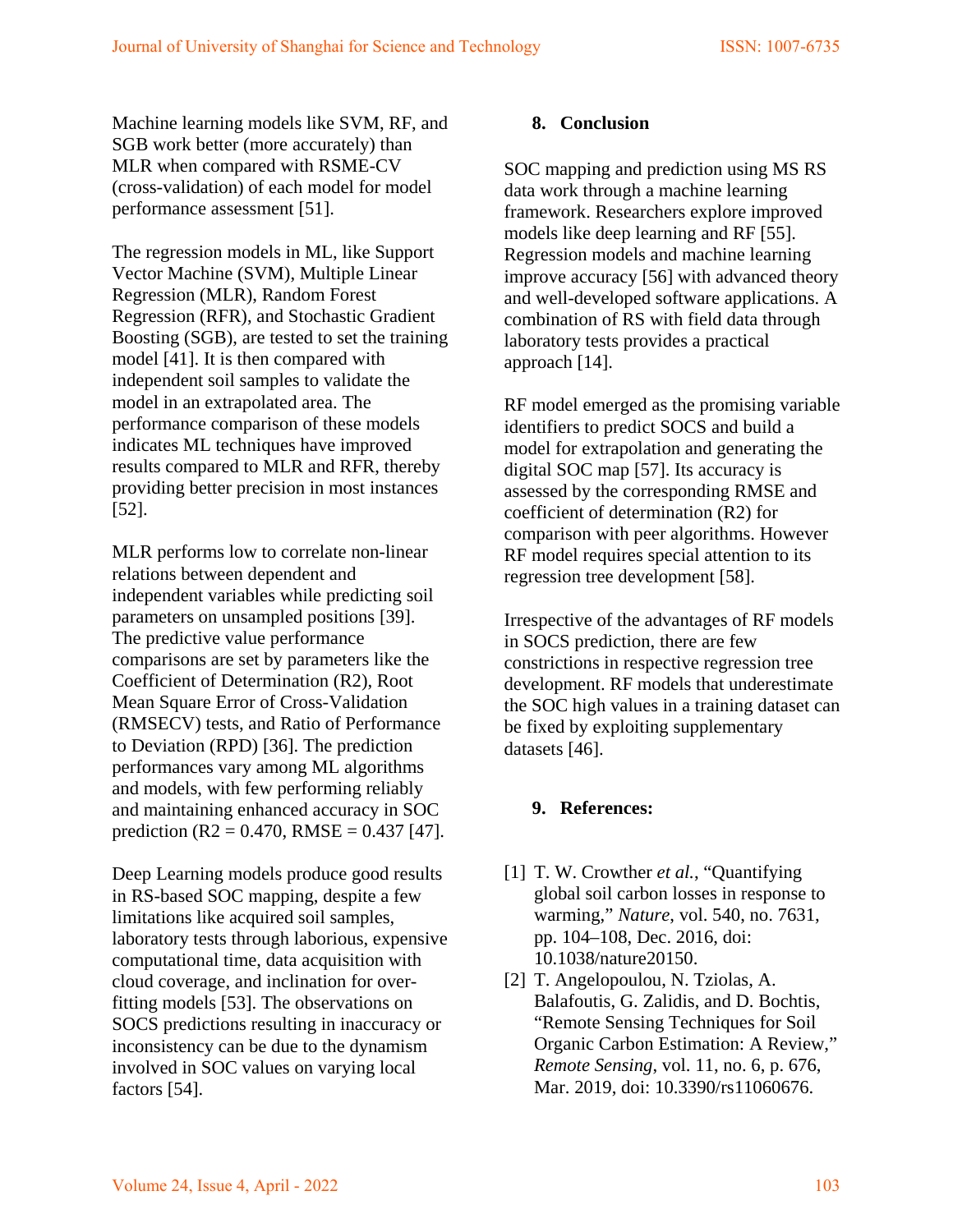Machine learning models like SVM, RF, and SGB work better (more accurately) than MLR when compared with RSME-CV (cross-validation) of each model for model performance assessment [51].

The regression models in ML, like Support Vector Machine (SVM), Multiple Linear Regression (MLR), Random Forest Regression (RFR), and Stochastic Gradient Boosting (SGB), are tested to set the training model [41]. It is then compared with independent soil samples to validate the model in an extrapolated area. The performance comparison of these models indicates ML techniques have improved results compared to MLR and RFR, thereby providing better precision in most instances [52].

MLR performs low to correlate non-linear relations between dependent and independent variables while predicting soil parameters on unsampled positions [39]. The predictive value performance comparisons are set by parameters like the Coefficient of Determination (R2), Root Mean Square Error of Cross-Validation (RMSECV) tests, and Ratio of Performance to Deviation (RPD) [36]. The prediction performances vary among ML algorithms and models, with few performing reliably and maintaining enhanced accuracy in SOC prediction (R2 = 0.470, RMSE = 0.437 [47].

Deep Learning models produce good results in RS-based SOC mapping, despite a few limitations like acquired soil samples, laboratory tests through laborious, expensive computational time, data acquisition with cloud coverage, and inclination for overfitting models [53]. The observations on SOCS predictions resulting in inaccuracy or inconsistency can be due to the dynamism involved in SOC values on varying local factors [54].

#### **8. Conclusion**

SOC mapping and prediction using MS RS data work through a machine learning framework. Researchers explore improved models like deep learning and RF [55]. Regression models and machine learning improve accuracy [56] with advanced theory and well-developed software applications. A combination of RS with field data through laboratory tests provides a practical approach [14].

RF model emerged as the promising variable identifiers to predict SOCS and build a model for extrapolation and generating the digital SOC map [57]. Its accuracy is assessed by the corresponding RMSE and coefficient of determination (R2) for comparison with peer algorithms. However RF model requires special attention to its regression tree development [58].

Irrespective of the advantages of RF models in SOCS prediction, there are few constrictions in respective regression tree development. RF models that underestimate the SOC high values in a training dataset can be fixed by exploiting supplementary datasets [46].

#### **9. References:**

- [1] T. W. Crowther *et al.*, "Quantifying global soil carbon losses in response to warming," *Nature*, vol. 540, no. 7631, pp. 104–108, Dec. 2016, doi: 10.1038/nature20150.
- [2] T. Angelopoulou, N. Tziolas, A. Balafoutis, G. Zalidis, and D. Bochtis, "Remote Sensing Techniques for Soil Organic Carbon Estimation: A Review," *Remote Sensing*, vol. 11, no. 6, p. 676, Mar. 2019, doi: 10.3390/rs11060676.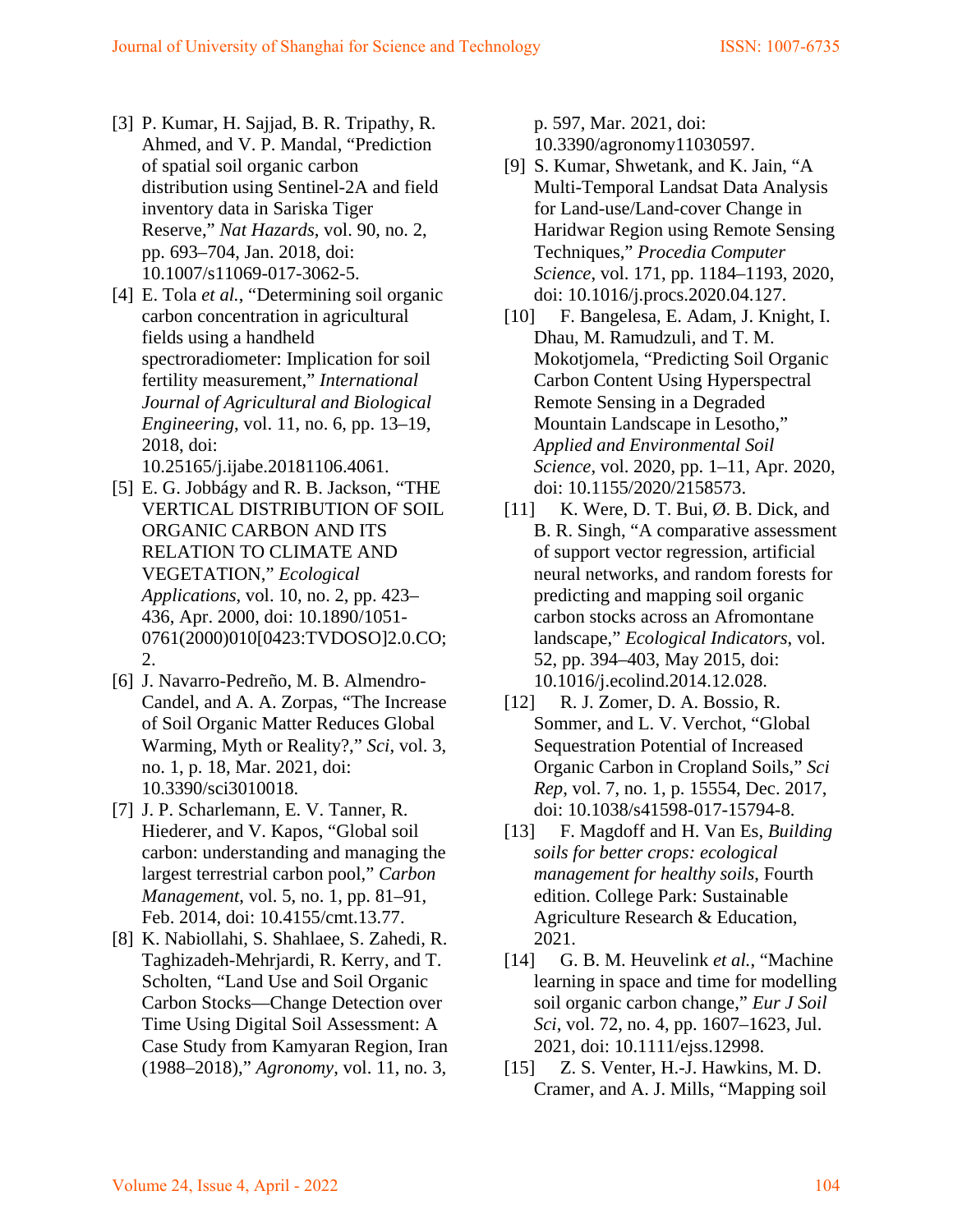- [3] P. Kumar, H. Sajjad, B. R. Tripathy, R. Ahmed, and V. P. Mandal, "Prediction of spatial soil organic carbon distribution using Sentinel-2A and field inventory data in Sariska Tiger Reserve," *Nat Hazards*, vol. 90, no. 2, pp. 693–704, Jan. 2018, doi: 10.1007/s11069-017-3062-5.
- [4] E. Tola *et al.*, "Determining soil organic carbon concentration in agricultural fields using a handheld spectroradiometer: Implication for soil fertility measurement," *International Journal of Agricultural and Biological Engineering*, vol. 11, no. 6, pp. 13–19, 2018, doi:

10.25165/j.ijabe.20181106.4061.

- [5] E. G. Jobbágy and R. B. Jackson, "THE VERTICAL DISTRIBUTION OF SOIL ORGANIC CARBON AND ITS RELATION TO CLIMATE AND VEGETATION," *Ecological Applications*, vol. 10, no. 2, pp. 423– 436, Apr. 2000, doi: 10.1890/1051- 0761(2000)010[0423:TVDOSO]2.0.CO; 2.
- [6] J. Navarro-Pedreño, M. B. Almendro-Candel, and A. A. Zorpas, "The Increase of Soil Organic Matter Reduces Global Warming, Myth or Reality?," *Sci*, vol. 3, no. 1, p. 18, Mar. 2021, doi: 10.3390/sci3010018.
- [7] J. P. Scharlemann, E. V. Tanner, R. Hiederer, and V. Kapos, "Global soil carbon: understanding and managing the largest terrestrial carbon pool," *Carbon Management*, vol. 5, no. 1, pp. 81–91, Feb. 2014, doi: 10.4155/cmt.13.77.
- [8] K. Nabiollahi, S. Shahlaee, S. Zahedi, R. Taghizadeh-Mehrjardi, R. Kerry, and T. Scholten, "Land Use and Soil Organic Carbon Stocks—Change Detection over Time Using Digital Soil Assessment: A Case Study from Kamyaran Region, Iran (1988–2018)," *Agronomy*, vol. 11, no. 3,

p. 597, Mar. 2021, doi: 10.3390/agronomy11030597.

- [9] S. Kumar, Shwetank, and K. Jain, "A Multi-Temporal Landsat Data Analysis for Land-use/Land-cover Change in Haridwar Region using Remote Sensing Techniques," *Procedia Computer Science*, vol. 171, pp. 1184–1193, 2020, doi: 10.1016/j.procs.2020.04.127.
- [10] F. Bangelesa, E. Adam, J. Knight, I. Dhau, M. Ramudzuli, and T. M. Mokotjomela, "Predicting Soil Organic Carbon Content Using Hyperspectral Remote Sensing in a Degraded Mountain Landscape in Lesotho," *Applied and Environmental Soil Science*, vol. 2020, pp. 1–11, Apr. 2020, doi: 10.1155/2020/2158573.
- [11] K. Were, D. T. Bui,  $\varnothing$ . B. Dick, and B. R. Singh, "A comparative assessment of support vector regression, artificial neural networks, and random forests for predicting and mapping soil organic carbon stocks across an Afromontane landscape," *Ecological Indicators*, vol. 52, pp. 394–403, May 2015, doi: 10.1016/j.ecolind.2014.12.028.
- [12] R. J. Zomer, D. A. Bossio, R. Sommer, and L. V. Verchot, "Global Sequestration Potential of Increased Organic Carbon in Cropland Soils," *Sci Rep*, vol. 7, no. 1, p. 15554, Dec. 2017, doi: 10.1038/s41598-017-15794-8.
- [13] F. Magdoff and H. Van Es, *Building soils for better crops: ecological management for healthy soils*, Fourth edition. College Park: Sustainable Agriculture Research & Education, 2021.
- [14] G. B. M. Heuvelink *et al.*, "Machine learning in space and time for modelling soil organic carbon change," *Eur J Soil Sci*, vol. 72, no. 4, pp. 1607–1623, Jul. 2021, doi: 10.1111/ejss.12998.
- [15] Z. S. Venter, H.-J. Hawkins, M. D. Cramer, and A. J. Mills, "Mapping soil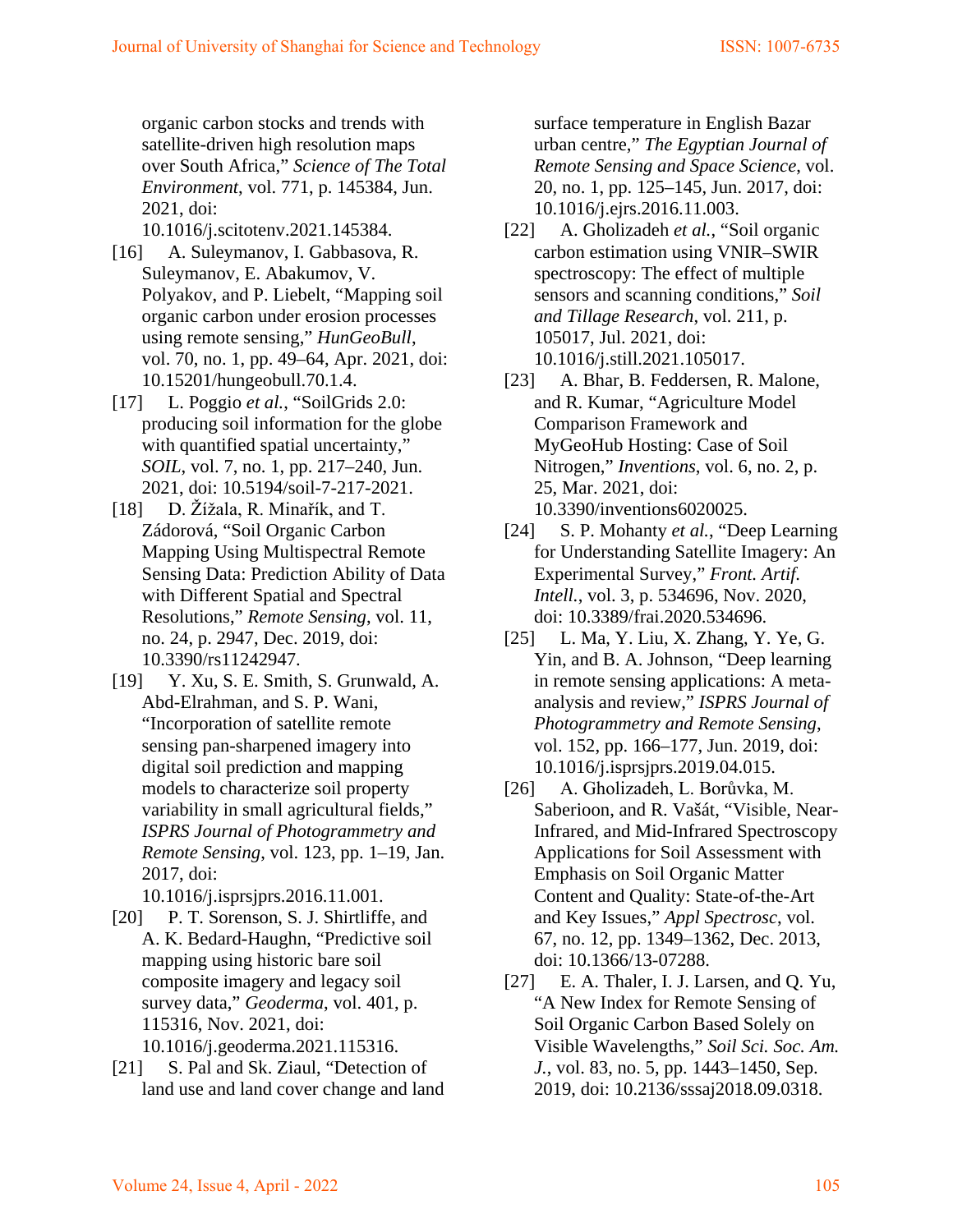organic carbon stocks and trends with satellite-driven high resolution maps over South Africa," *Science of The Total Environment*, vol. 771, p. 145384, Jun. 2021, doi:

10.1016/j.scitotenv.2021.145384.

- [16] A. Suleymanov, I. Gabbasova, R. Suleymanov, E. Abakumov, V. Polyakov, and P. Liebelt, "Mapping soil organic carbon under erosion processes using remote sensing," *HunGeoBull*, vol. 70, no. 1, pp. 49–64, Apr. 2021, doi: 10.15201/hungeobull.70.1.4.
- [17] L. Poggio *et al.*, "SoilGrids 2.0: producing soil information for the globe with quantified spatial uncertainty," *SOIL*, vol. 7, no. 1, pp. 217–240, Jun. 2021, doi: 10.5194/soil-7-217-2021.
- [18] D. Žížala, R. Minařík, and T. Zádorová, "Soil Organic Carbon Mapping Using Multispectral Remote Sensing Data: Prediction Ability of Data with Different Spatial and Spectral Resolutions," *Remote Sensing*, vol. 11, no. 24, p. 2947, Dec. 2019, doi: 10.3390/rs11242947.
- [19] Y. Xu, S. E. Smith, S. Grunwald, A. Abd-Elrahman, and S. P. Wani, "Incorporation of satellite remote sensing pan-sharpened imagery into digital soil prediction and mapping models to characterize soil property variability in small agricultural fields," *ISPRS Journal of Photogrammetry and Remote Sensing*, vol. 123, pp. 1–19, Jan. 2017, doi:

10.1016/j.isprsjprs.2016.11.001.

- [20] P. T. Sorenson, S. J. Shirtliffe, and A. K. Bedard-Haughn, "Predictive soil mapping using historic bare soil composite imagery and legacy soil survey data," *Geoderma*, vol. 401, p. 115316, Nov. 2021, doi: 10.1016/j.geoderma.2021.115316.
- [21] S. Pal and Sk. Ziaul, "Detection of land use and land cover change and land

surface temperature in English Bazar urban centre," *The Egyptian Journal of Remote Sensing and Space Science*, vol. 20, no. 1, pp. 125–145, Jun. 2017, doi: 10.1016/j.ejrs.2016.11.003.

- [22] A. Gholizadeh *et al.*, "Soil organic carbon estimation using VNIR–SWIR spectroscopy: The effect of multiple sensors and scanning conditions," *Soil and Tillage Research*, vol. 211, p. 105017, Jul. 2021, doi: 10.1016/j.still.2021.105017.
- [23] A. Bhar, B. Feddersen, R. Malone, and R. Kumar, "Agriculture Model Comparison Framework and MyGeoHub Hosting: Case of Soil Nitrogen," *Inventions*, vol. 6, no. 2, p. 25, Mar. 2021, doi: 10.3390/inventions6020025.
- [24] S. P. Mohanty *et al.*, "Deep Learning for Understanding Satellite Imagery: An Experimental Survey," *Front. Artif. Intell.*, vol. 3, p. 534696, Nov. 2020, doi: 10.3389/frai.2020.534696.
- [25] L. Ma, Y. Liu, X. Zhang, Y. Ye, G. Yin, and B. A. Johnson, "Deep learning in remote sensing applications: A metaanalysis and review," *ISPRS Journal of Photogrammetry and Remote Sensing*, vol. 152, pp. 166–177, Jun. 2019, doi: 10.1016/j.isprsjprs.2019.04.015.
- [26] A. Gholizadeh, L. Borůvka, M. Saberioon, and R. Vašát, "Visible, Near-Infrared, and Mid-Infrared Spectroscopy Applications for Soil Assessment with Emphasis on Soil Organic Matter Content and Quality: State-of-the-Art and Key Issues," *Appl Spectrosc*, vol. 67, no. 12, pp. 1349–1362, Dec. 2013, doi: 10.1366/13-07288.
- [27] E. A. Thaler, I. J. Larsen, and Q. Yu, "A New Index for Remote Sensing of Soil Organic Carbon Based Solely on Visible Wavelengths," *Soil Sci. Soc. Am. J.*, vol. 83, no. 5, pp. 1443–1450, Sep. 2019, doi: 10.2136/sssaj2018.09.0318.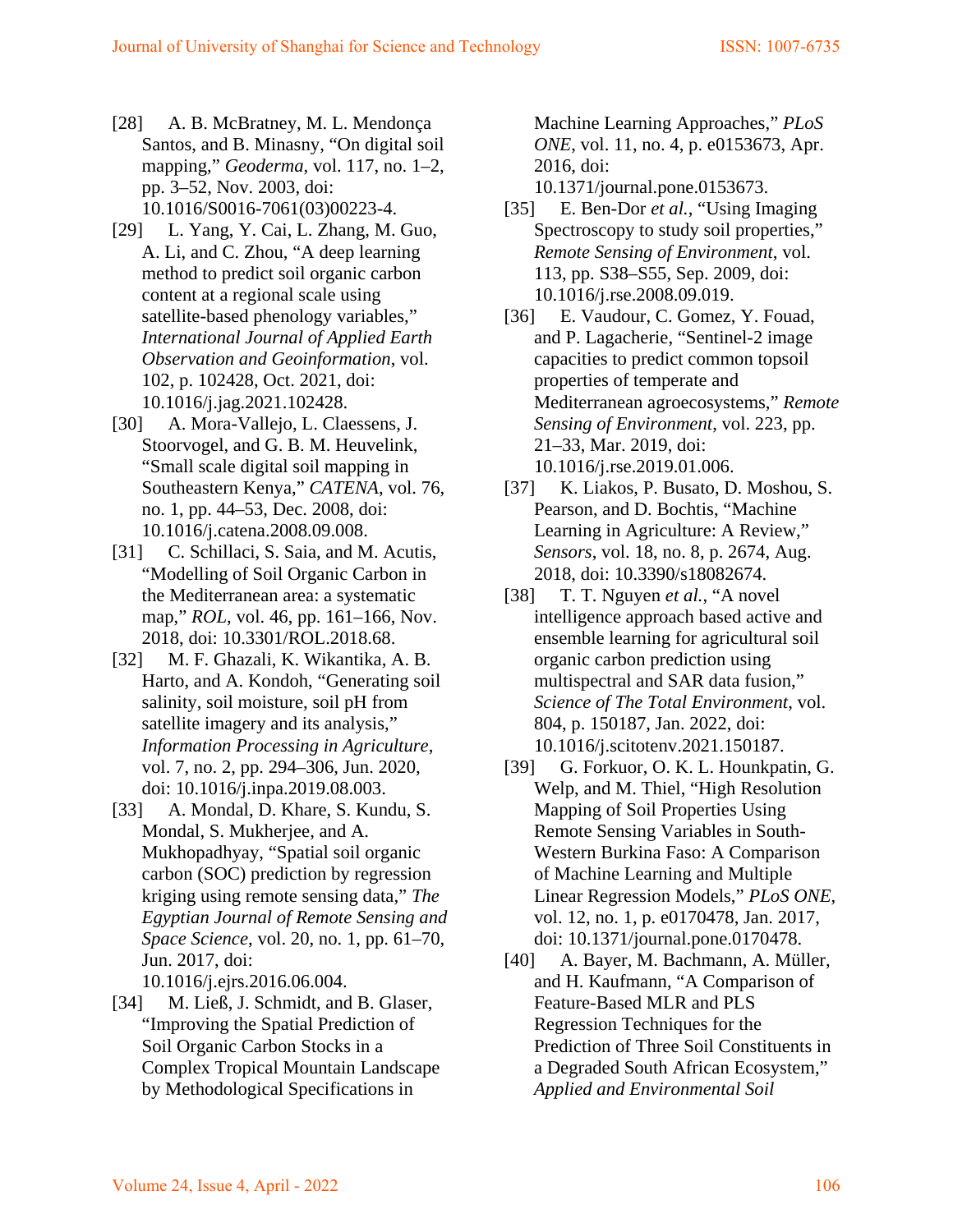- [28] A. B. McBratney, M. L. Mendonça Santos, and B. Minasny, "On digital soil mapping," *Geoderma*, vol. 117, no. 1–2, pp. 3–52, Nov. 2003, doi: 10.1016/S0016-7061(03)00223-4.
- [29] L. Yang, Y. Cai, L. Zhang, M. Guo, A. Li, and C. Zhou, "A deep learning method to predict soil organic carbon content at a regional scale using satellite-based phenology variables," *International Journal of Applied Earth Observation and Geoinformation*, vol. 102, p. 102428, Oct. 2021, doi: 10.1016/j.jag.2021.102428.
- [30] A. Mora-Vallejo, L. Claessens, J. Stoorvogel, and G. B. M. Heuvelink, "Small scale digital soil mapping in Southeastern Kenya," *CATENA*, vol. 76, no. 1, pp. 44–53, Dec. 2008, doi: 10.1016/j.catena.2008.09.008.
- [31] C. Schillaci, S. Saia, and M. Acutis, "Modelling of Soil Organic Carbon in the Mediterranean area: a systematic map," *ROL*, vol. 46, pp. 161–166, Nov. 2018, doi: 10.3301/ROL.2018.68.
- [32] M. F. Ghazali, K. Wikantika, A. B. Harto, and A. Kondoh, "Generating soil salinity, soil moisture, soil pH from satellite imagery and its analysis," *Information Processing in Agriculture*, vol. 7, no. 2, pp. 294–306, Jun. 2020, doi: 10.1016/j.inpa.2019.08.003.
- [33] A. Mondal, D. Khare, S. Kundu, S. Mondal, S. Mukherjee, and A. Mukhopadhyay, "Spatial soil organic carbon (SOC) prediction by regression kriging using remote sensing data," *The Egyptian Journal of Remote Sensing and Space Science*, vol. 20, no. 1, pp. 61–70, Jun. 2017, doi: 10.1016/j.ejrs.2016.06.004.
- [34] M. Ließ, J. Schmidt, and B. Glaser, "Improving the Spatial Prediction of Soil Organic Carbon Stocks in a Complex Tropical Mountain Landscape by Methodological Specifications in

Machine Learning Approaches," *PLoS ONE*, vol. 11, no. 4, p. e0153673, Apr. 2016, doi:

10.1371/journal.pone.0153673.

- [35] E. Ben-Dor *et al.*, "Using Imaging" Spectroscopy to study soil properties," *Remote Sensing of Environment*, vol. 113, pp. S38–S55, Sep. 2009, doi: 10.1016/j.rse.2008.09.019.
- [36] E. Vaudour, C. Gomez, Y. Fouad, and P. Lagacherie, "Sentinel-2 image capacities to predict common topsoil properties of temperate and Mediterranean agroecosystems," *Remote Sensing of Environment*, vol. 223, pp. 21–33, Mar. 2019, doi: 10.1016/j.rse.2019.01.006.
- [37] K. Liakos, P. Busato, D. Moshou, S. Pearson, and D. Bochtis, "Machine Learning in Agriculture: A Review," *Sensors*, vol. 18, no. 8, p. 2674, Aug. 2018, doi: 10.3390/s18082674.
- [38] T. T. Nguyen *et al.*, "A novel intelligence approach based active and ensemble learning for agricultural soil organic carbon prediction using multispectral and SAR data fusion," *Science of The Total Environment*, vol. 804, p. 150187, Jan. 2022, doi: 10.1016/j.scitotenv.2021.150187.
- [39] G. Forkuor, O. K. L. Hounkpatin, G. Welp, and M. Thiel, "High Resolution Mapping of Soil Properties Using Remote Sensing Variables in South-Western Burkina Faso: A Comparison of Machine Learning and Multiple Linear Regression Models," *PLoS ONE*, vol. 12, no. 1, p. e0170478, Jan. 2017, doi: 10.1371/journal.pone.0170478.
- [40] A. Bayer, M. Bachmann, A. Müller, and H. Kaufmann, "A Comparison of Feature-Based MLR and PLS Regression Techniques for the Prediction of Three Soil Constituents in a Degraded South African Ecosystem," *Applied and Environmental Soil*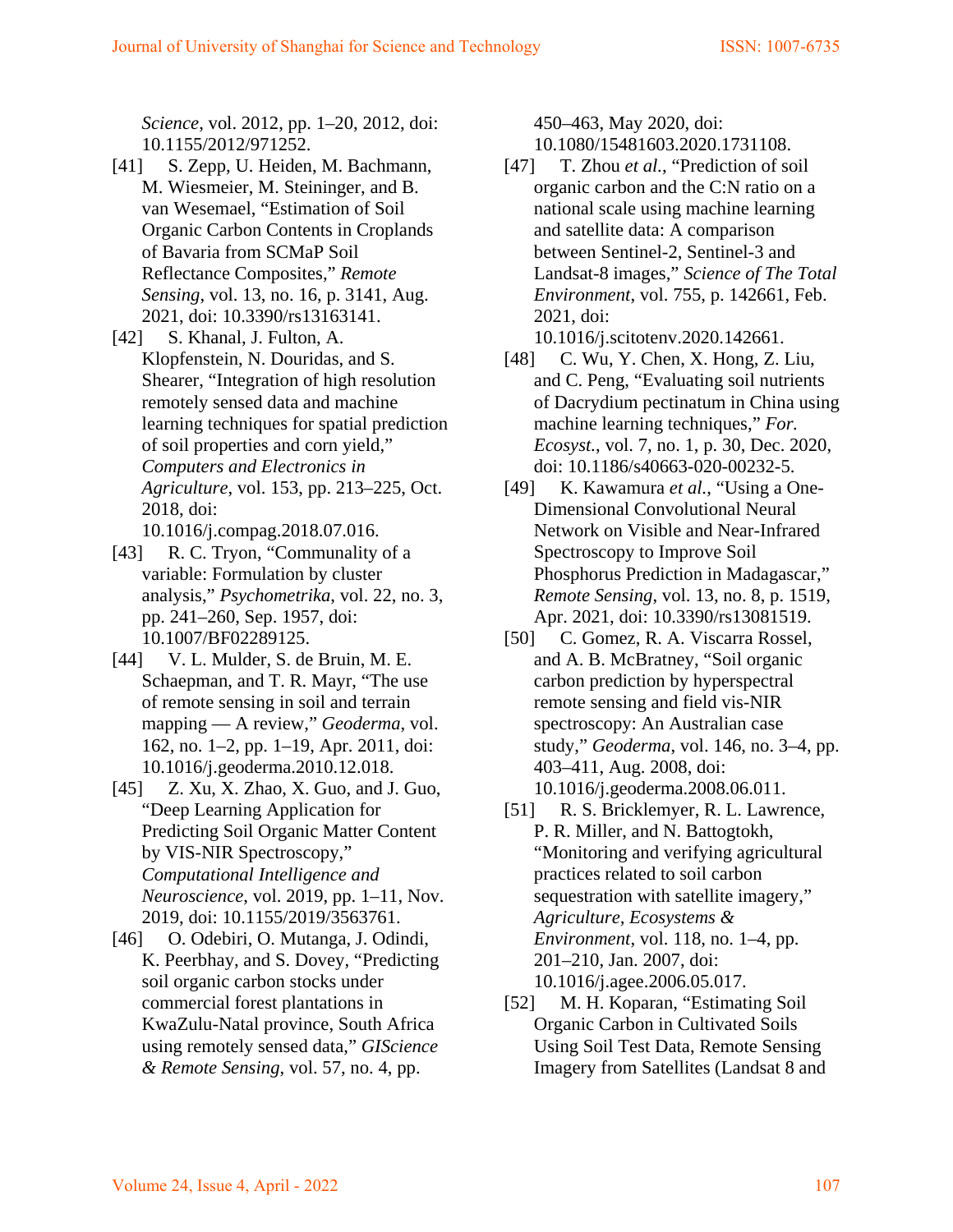*Science*, vol. 2012, pp. 1–20, 2012, doi: 10.1155/2012/971252.

- [41] S. Zepp, U. Heiden, M. Bachmann, M. Wiesmeier, M. Steininger, and B. van Wesemael, "Estimation of Soil Organic Carbon Contents in Croplands of Bavaria from SCMaP Soil Reflectance Composites," *Remote Sensing*, vol. 13, no. 16, p. 3141, Aug. 2021, doi: 10.3390/rs13163141.
- [42] S. Khanal, J. Fulton, A. Klopfenstein, N. Douridas, and S. Shearer, "Integration of high resolution remotely sensed data and machine learning techniques for spatial prediction of soil properties and corn yield," *Computers and Electronics in Agriculture*, vol. 153, pp. 213–225, Oct. 2018, doi:
	- 10.1016/j.compag.2018.07.016.
- [43] R. C. Tryon, "Communality of a variable: Formulation by cluster analysis," *Psychometrika*, vol. 22, no. 3, pp. 241–260, Sep. 1957, doi: 10.1007/BF02289125.
- [44] V. L. Mulder, S. de Bruin, M. E. Schaepman, and T. R. Mayr, "The use of remote sensing in soil and terrain mapping — A review," *Geoderma*, vol. 162, no. 1–2, pp. 1–19, Apr. 2011, doi: 10.1016/j.geoderma.2010.12.018.
- [45] Z. Xu, X. Zhao, X. Guo, and J. Guo, "Deep Learning Application for Predicting Soil Organic Matter Content by VIS-NIR Spectroscopy," *Computational Intelligence and Neuroscience*, vol. 2019, pp. 1–11, Nov. 2019, doi: 10.1155/2019/3563761.
- [46] O. Odebiri, O. Mutanga, J. Odindi, K. Peerbhay, and S. Dovey, "Predicting soil organic carbon stocks under commercial forest plantations in KwaZulu-Natal province, South Africa using remotely sensed data," *GIScience & Remote Sensing*, vol. 57, no. 4, pp.

450–463, May 2020, doi: 10.1080/15481603.2020.1731108.

[47] T. Zhou *et al.*, "Prediction of soil organic carbon and the C:N ratio on a national scale using machine learning and satellite data: A comparison between Sentinel-2, Sentinel-3 and Landsat-8 images," *Science of The Total Environment*, vol. 755, p. 142661, Feb. 2021, doi:

10.1016/j.scitotenv.2020.142661.

- [48] C. Wu, Y. Chen, X. Hong, Z. Liu, and C. Peng, "Evaluating soil nutrients of Dacrydium pectinatum in China using machine learning techniques," *For. Ecosyst.*, vol. 7, no. 1, p. 30, Dec. 2020, doi: 10.1186/s40663-020-00232-5.
- [49] K. Kawamura *et al.*, "Using a One-Dimensional Convolutional Neural Network on Visible and Near-Infrared Spectroscopy to Improve Soil Phosphorus Prediction in Madagascar," *Remote Sensing*, vol. 13, no. 8, p. 1519, Apr. 2021, doi: 10.3390/rs13081519.
- [50] C. Gomez, R. A. Viscarra Rossel, and A. B. McBratney, "Soil organic carbon prediction by hyperspectral remote sensing and field vis-NIR spectroscopy: An Australian case study," *Geoderma*, vol. 146, no. 3–4, pp. 403–411, Aug. 2008, doi: 10.1016/j.geoderma.2008.06.011.
- [51] R. S. Bricklemyer, R. L. Lawrence, P. R. Miller, and N. Battogtokh, "Monitoring and verifying agricultural practices related to soil carbon sequestration with satellite imagery," *Agriculture, Ecosystems & Environment*, vol. 118, no. 1–4, pp. 201–210, Jan. 2007, doi: 10.1016/j.agee.2006.05.017.
- [52] M. H. Koparan, "Estimating Soil Organic Carbon in Cultivated Soils Using Soil Test Data, Remote Sensing Imagery from Satellites (Landsat 8 and